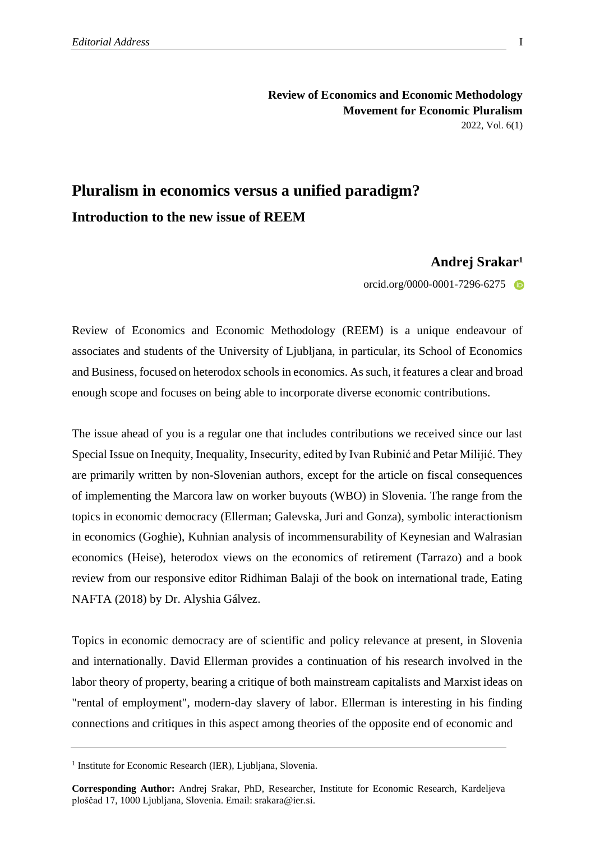## **Review of Economics and Economic Methodology Movement for Economic Pluralism** 2022, Vol. 6(1)

## **Pluralism in economics versus a unified paradigm? Introduction to the new issue of REEM**

## **Andrej Srakar<sup>1</sup>**

orcid.org/0000-0001-7296-6275

Review of Economics and Economic Methodology (REEM) is a unique endeavour of associates and students of the University of Ljubljana, in particular, its School of Economics and Business, focused on heterodox schools in economics. As such, it features a clear and broad enough scope and focuses on being able to incorporate diverse economic contributions.

The issue ahead of you is a regular one that includes contributions we received since our last Special Issue on Inequity, Inequality, Insecurity, edited by Ivan Rubinić and Petar Milijić. They are primarily written by non-Slovenian authors, except for the article on fiscal consequences of implementing the Marcora law on worker buyouts (WBO) in Slovenia. The range from the topics in economic democracy (Ellerman; Galevska, Juri and Gonza), symbolic interactionism in economics (Goghie), Kuhnian analysis of incommensurability of Keynesian and Walrasian economics (Heise), heterodox views on the economics of retirement (Tarrazo) and a book review from our responsive editor Ridhiman Balaji of the book on international trade, Eating NAFTA (2018) by Dr. Alyshia Gálvez.

Topics in economic democracy are of scientific and policy relevance at present, in Slovenia and internationally. David Ellerman provides a continuation of his research involved in the labor theory of property, bearing a critique of both mainstream capitalists and Marxist ideas on "rental of employment", modern-day slavery of labor. Ellerman is interesting in his finding connections and critiques in this aspect among theories of the opposite end of economic and

<sup>&</sup>lt;sup>1</sup> Institute for Economic Research (IER), Ljubljana, Slovenia.

**Corresponding Author:** Andrej Srakar, PhD, Researcher, Institute for Economic Research, Kardeljeva ploščad 17, 1000 Ljubljana, Slovenia. Email: srakara@ier.si.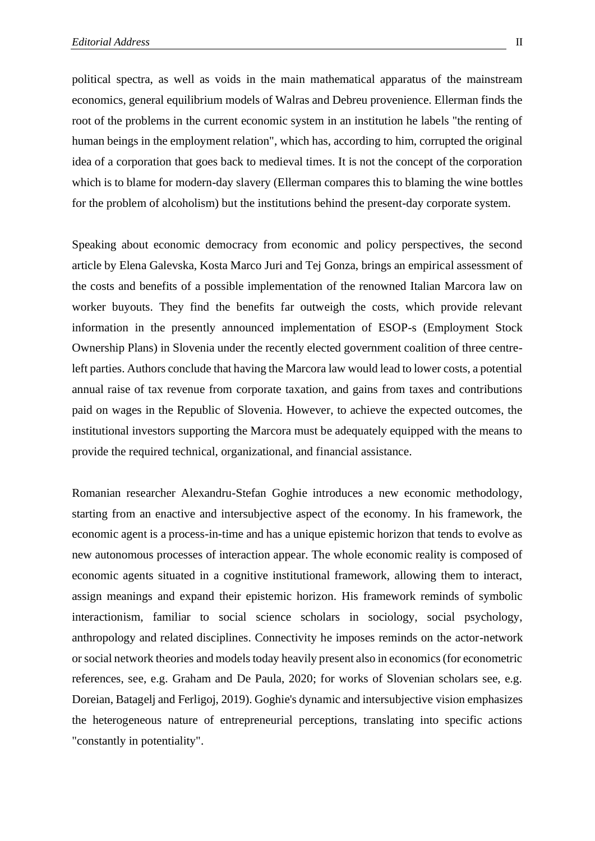political spectra, as well as voids in the main mathematical apparatus of the mainstream economics, general equilibrium models of Walras and Debreu provenience. Ellerman finds the root of the problems in the current economic system in an institution he labels "the renting of human beings in the employment relation", which has, according to him, corrupted the original idea of a corporation that goes back to medieval times. It is not the concept of the corporation which is to blame for modern-day slavery (Ellerman compares this to blaming the wine bottles for the problem of alcoholism) but the institutions behind the present-day corporate system.

Speaking about economic democracy from economic and policy perspectives, the second article by Elena Galevska, Kosta Marco Juri and Tej Gonza, brings an empirical assessment of the costs and benefits of a possible implementation of the renowned Italian Marcora law on worker buyouts. They find the benefits far outweigh the costs, which provide relevant information in the presently announced implementation of ESOP-s (Employment Stock Ownership Plans) in Slovenia under the recently elected government coalition of three centreleft parties. Authors conclude that having the Marcora law would lead to lower costs, a potential annual raise of tax revenue from corporate taxation, and gains from taxes and contributions paid on wages in the Republic of Slovenia. However, to achieve the expected outcomes, the institutional investors supporting the Marcora must be adequately equipped with the means to provide the required technical, organizational, and financial assistance.

Romanian researcher Alexandru-Stefan Goghie introduces a new economic methodology, starting from an enactive and intersubjective aspect of the economy. In his framework, the economic agent is a process-in-time and has a unique epistemic horizon that tends to evolve as new autonomous processes of interaction appear. The whole economic reality is composed of economic agents situated in a cognitive institutional framework, allowing them to interact, assign meanings and expand their epistemic horizon. His framework reminds of symbolic interactionism, familiar to social science scholars in sociology, social psychology, anthropology and related disciplines. Connectivity he imposes reminds on the actor-network or social network theories and models today heavily present also in economics (for econometric references, see, e.g. Graham and De Paula, 2020; for works of Slovenian scholars see, e.g. Doreian, Batagelj and Ferligoj, 2019). Goghie's dynamic and intersubjective vision emphasizes the heterogeneous nature of entrepreneurial perceptions, translating into specific actions "constantly in potentiality".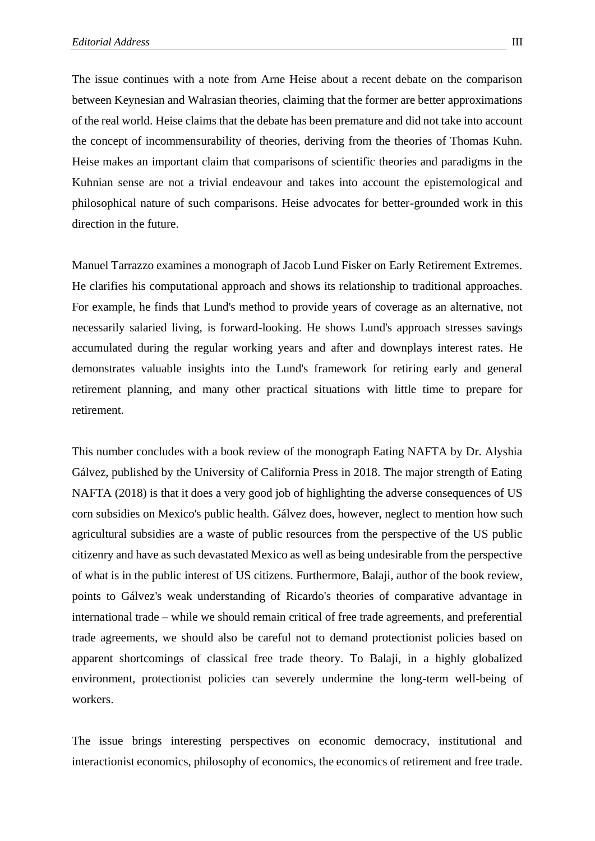The issue continues with a note from Arne Heise about a recent debate on the comparison between Keynesian and Walrasian theories, claiming that the former are better approximations of the real world. Heise claims that the debate has been premature and did not take into account the concept of incommensurability of theories, deriving from the theories of Thomas Kuhn. Heise makes an important claim that comparisons of scientific theories and paradigms in the Kuhnian sense are not a trivial endeavour and takes into account the epistemological and philosophical nature of such comparisons. Heise advocates for better-grounded work in this direction in the future.

Manuel Tarrazzo examines a monograph of Jacob Lund Fisker on Early Retirement Extremes. He clarifies his computational approach and shows its relationship to traditional approaches. For example, he finds that Lund's method to provide years of coverage as an alternative, not necessarily salaried living, is forward-looking. He shows Lund's approach stresses savings accumulated during the regular working years and after and downplays interest rates. He demonstrates valuable insights into the Lund's framework for retiring early and general retirement planning, and many other practical situations with little time to prepare for retirement.

This number concludes with a book review of the monograph Eating NAFTA by Dr. Alyshia Gálvez, published by the University of California Press in 2018. The major strength of Eating NAFTA (2018) is that it does a very good job of highlighting the adverse consequences of US corn subsidies on Mexico's public health. Gálvez does, however, neglect to mention how such agricultural subsidies are a waste of public resources from the perspective of the US public citizenry and have as such devastated Mexico as well as being undesirable from the perspective of what is in the public interest of US citizens. Furthermore, Balaji, author of the book review, points to Gálvez's weak understanding of Ricardo's theories of comparative advantage in international trade – while we should remain critical of free trade agreements, and preferential trade agreements, we should also be careful not to demand protectionist policies based on apparent shortcomings of classical free trade theory. To Balaji, in a highly globalized environment, protectionist policies can severely undermine the long-term well-being of workers.

The issue brings interesting perspectives on economic democracy, institutional and interactionist economics, philosophy of economics, the economics of retirement and free trade.